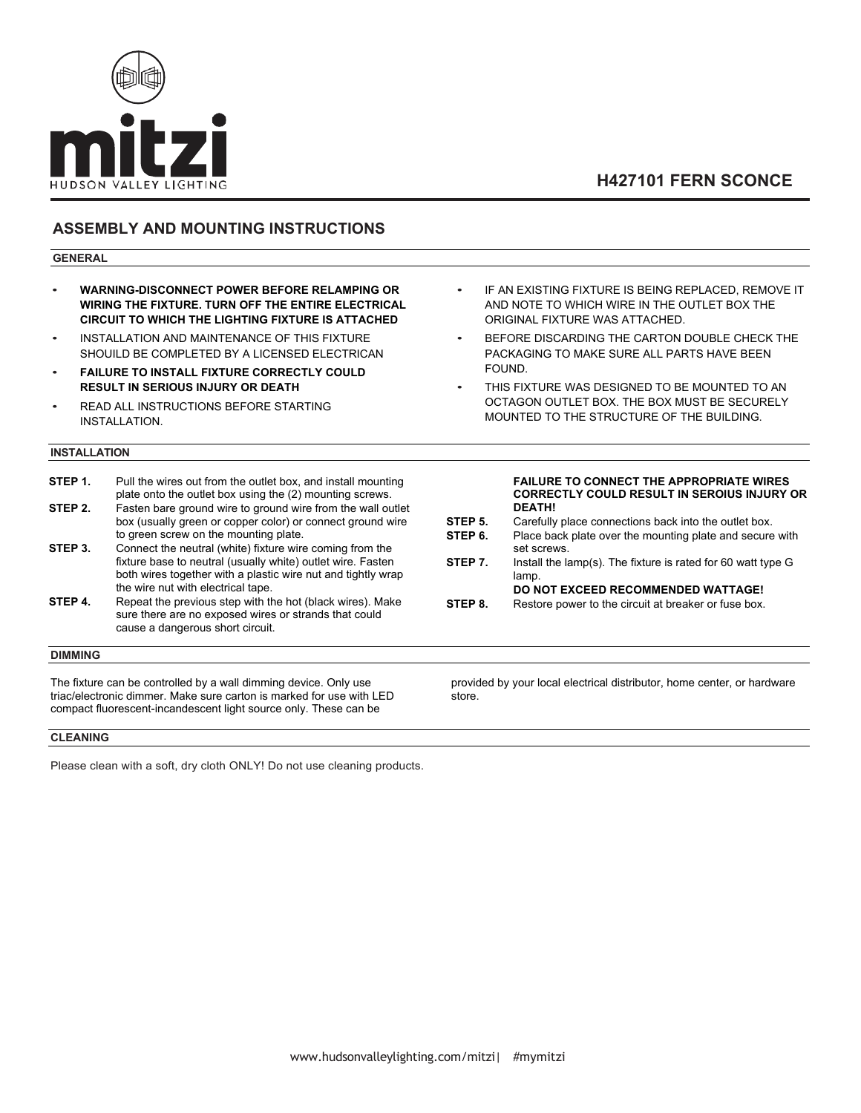

# **H427101 FERN SCONCE**

### **ASSEMBLY AND MOUNTING INSTRUCTIONS**

#### **GENERAL**

- **WARNING-DISCONNECT POWER BEFORE RELAMPING OR WIRING THE FIXTURE. TURN OFF THE ENTIRE ELECTRICAL CIRCUIT TO WHICH THE LIGHTING FIXTURE IS ATTACHED**
- INSTALLATION AND MAINTENANCE OF THIS FIXTURE SHOUILD BE COMPLETED BY A LICENSED ELECTRICAN
- **FAILURE TO INSTALL FIXTURE CORRECTLY COULD RESULT IN SERIOUS INJURY OR DEATH**
- READ ALL INSTRUCTIONS BEFORE STARTING INSTALLATION.

#### **INSTALLATION**

- **STEP 1.** Pull the wires out from the outlet box, and install mounting plate onto the outlet box using the (2) mounting screws. **STEP 2.** Fasten bare ground wire to ground wire from the wall outlet box (usually green or copper color) or connect ground wire to green screw on the mounting plate.
- **STEP 3.** Connect the neutral (white) fixture wire coming from the fixture base to neutral (usually white) outlet wire. Fasten both wires together with a plastic wire nut and tightly wrap the wire nut with electrical tape.
- **STEP 4.** Repeat the previous step with the hot (black wires). Make sure there are no exposed wires or strands that could cause a dangerous short circuit.

### **DIMMING**

The fixture can be controlled by a wall dimming device. Only use triac/electronic dimmer. Make sure carton is marked for use with LED compact fluorescent-incandescent light source only. These can be

**CLEANING**

Please clean with a soft, dry cloth ONLY! Do not use cleaning products.

- IF AN EXISTING FIXTURE IS BEING REPLACED. REMOVE IT AND NOTE TO WHICH WIRE IN THE OUTLET BOX THE ORIGINAL FIXTURE WAS ATTACHED.
- BEFORE DISCARDING THE CARTON DOUBLE CHECK THE PACKAGING TO MAKE SURE ALL PARTS HAVE BEEN FOUND.
- THIS FIXTURE WAS DESIGNED TO BE MOUNTED TO AN OCTAGON OUTLET BOX. THE BOX MUST BE SECURELY MOUNTED TO THE STRUCTURE OF THE BUILDING.

#### **FAILURE TO CONNECT THE APPROPRIATE WIRES CORRECTLY COULD RESULT IN SEROIUS INJURY OR DEATH!**

- **STEP 5.** Carefully place connections back into the outlet box.<br>**STEP 6.** Place back plate over the mounting plate and secure Place back plate over the mounting plate and secure with set screws.
- **STEP 7.** Install the lamp(s). The fixture is rated for 60 watt type G lamp.

**DO NOT EXCEED RECOMMENDED WATTAGE!**

**STEP 8.** Restore power to the circuit at breaker or fuse box.

provided by your local electrical distributor, home center, or hardware store.